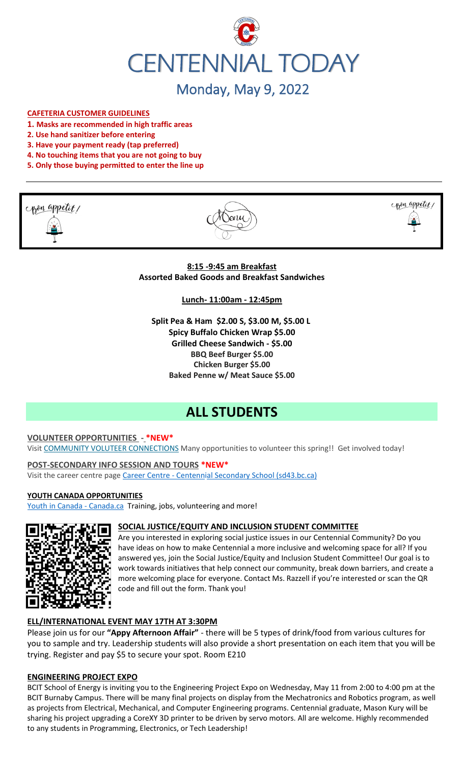

#### **CAFETERIA CUSTOMER GUIDELINES**

- **1. Masks are recommended in high traffic areas**
- **2. Use hand sanitizer before entering**
- **3. Have your payment ready (tap preferred)**
- **4. No touching items that you are not going to buy**
- **5. Only those buying permitted to enter the line up**







**8:15 -9:45 am Breakfast Assorted Baked Goods and Breakfast Sandwiches**

**Lunch- 11:00am - 12:45pm**

**Split Pea & Ham \$2.00 S, \$3.00 M, \$5.00 L Spicy Buffalo Chicken Wrap \$5.00 Grilled Cheese Sandwich - \$5.00 BBQ Beef Burger \$5.00 Chicken Burger \$5.00 Baked Penne w/ Meat Sauce \$5.00**

# **ALL STUDENTS**

#### **VOLUNTEER OPPORTUNITIES - \*NEW\***

Visit [COMMUNITY VOLUTEER CONNECTIONS](http://cvc.bcvolunteer.ca/?utm_medium=email&_hsmi=212053802&_hsenc=p2ANqtz-9C8dpzKk2EMx5WaRlcu1rFP2YEXC5VAFvsOvn5_wxMc57Cdw3Mh5OQLY2UlP06JDrovG2rZ7VwFdjY3Ko2dQzZDqra3w&utm_content=212053802&utm_source=hs_email) Many opportunities to volunteer this spring!! Get involved today!

**POST-SECONDARY INFO SESSION AND TOURS \*NEW\*** Visit the career centre page Career Centre - [Centennial Secondary School \(sd43.bc.ca\)](https://www.sd43.bc.ca/school/centennial/ProgramsServices/CareerCentre/postsecondary/Pages/default.aspx#/=)

#### **YOUTH CANADA OPPORTUNITIES**

[Youth in Canada -](https://www.canada.ca/en/services/youth.html) Canada.ca Training, jobs, volunteering and more!



#### **SOCIAL JUSTICE/EQUITY AND INCLUSION STUDENT COMMITTEE**

Are you interested in exploring social justice issues in our Centennial Community? Do you have ideas on how to make Centennial a more inclusive and welcoming space for all? If you answered yes, join the Social Justice/Equity and Inclusion Student Committee! Our goal is to work towards initiatives that help connect our community, break down barriers, and create a more welcoming place for everyone. Contact Ms. Razzell if you're interested or scan the QR code and fill out the form. Thank you!

## **ELL/INTERNATIONAL EVENT MAY 17TH AT 3:30PM**

Please join us for our **"Appy Afternoon Affair"** - there will be 5 types of drink/food from various cultures for you to sample and try. Leadership students will also provide a short presentation on each item that you will be trying. Register and pay \$5 to secure your spot. Room E210

#### **ENGINEERING PROJECT EXPO**

BCIT School of Energy is inviting you to the Engineering Project Expo on Wednesday, May 11 from 2:00 to 4:00 pm at the BCIT Burnaby Campus. There will be many final projects on display from the Mechatronics and Robotics program, as well as projects from Electrical, Mechanical, and Computer Engineering programs. Centennial graduate, Mason Kury will be sharing his project upgrading a CoreXY 3D printer to be driven by servo motors. All are welcome. Highly recommended to any students in Programming, Electronics, or Tech Leadership!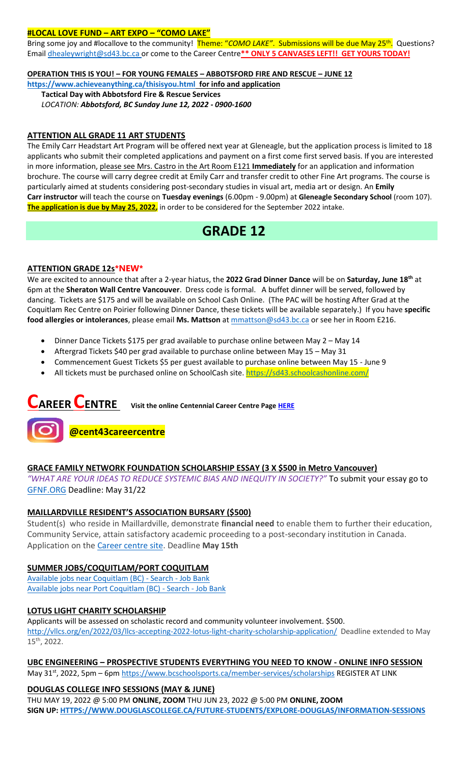#### **#LOCAL LOVE FUND – ART EXPO – "COMO LAKE"**

Bring some joy and #locallove to the community! Theme: "COMO LAKE". Submissions will be due May 25<sup>th</sup>. Questions? Email [dhealeywright@sd43.bc.ca](mailto:dhealeywright@sd43.bc.ca) or come to the Career Centre**\*\* ONLY 5 CANVASES LEFT!! GET YOURS TODAY!**

#### **OPERATION THIS IS YOU! – FOR YOUNG FEMALES – ABBOTSFORD FIRE AND RESCUE – JUNE 12**

**<https://www.achieveanything.ca/thisisyou.html> for info and application**

**Tactical Day with Abbotsford Fire & Rescue Services** *LOCATION: Abbotsford, BC Sunday June 12, 2022 - 0900-1600*

#### **ATTENTION ALL GRADE 11 ART STUDENTS**

The Emily Carr Headstart Art Program will be offered next year at Gleneagle, but the application process is limited to 18 applicants who submit their completed applications and payment on a first come first served basis. If you are interested in more information, please see Mrs. Castro in the Art Room E121 **Immediately** for an application and information brochure. The course will carry degree credit at Emily Carr and transfer credit to other Fine Art programs. The course is particularly aimed at students considering post-secondary studies in visual art, media art or design. An **Emily Carr instructor** will teach the course on **Tuesday evenings** (6.00pm - 9.00pm) at **Gleneagle Secondary School** (room 107). **The application is due by May 25, 2022,** in order to be considered for the September 2022 intake.

# **GRADE 12**

# **ATTENTION GRADE 12s\*NEW\***

We are excited to announce that after a 2-year hiatus, the **2022 Grad Dinner Dance** will be on **Saturday, June 18th** at 6pm at the **Sheraton Wall Centre Vancouver**. Dress code is formal. A buffet dinner will be served, followed by dancing. Tickets are \$175 and will be available on School Cash Online. (The PAC will be hosting After Grad at the Coquitlam Rec Centre on Poirier following Dinner Dance, these tickets will be available separately.) If you have **specific food allergies or intolerances**, please email **Ms. Mattson** at [mmattson@sd43.bc.ca](mailto:mmattson@sd43.bc.ca) or see her in Room E216.

- Dinner Dance Tickets \$175 per grad available to purchase online between May 2 May 14
- Aftergrad Tickets \$40 per grad available to purchase online between May 15 May 31
- Commencement Guest Tickets \$5 per guest available to purchase online between May 15 June 9
- All tickets must be purchased online on SchoolCash site. <https://sd43.schoolcashonline.com/>

# **CAREER CENTRE Visit the online Centennial Career Centre Page [HERE](https://www.sd43.bc.ca/school/centennial/ProgramsServices/CareerCentre/experiences/Pages/default.aspx#/=)**



## **GRACE FAMILY NETWORK FOUNDATION SCHOLARSHIP ESSAY (3 X \$500 in Metro Vancouver)**

*"WHAT ARE YOUR IDEAS TO REDUCE SYSTEMIC BIAS AND INEQUITY IN SOCIETY?"* To submit your essay go to [GFNF.ORG](http://www.gfnf.org/) Deadline: May 31/22

## **MAILLARDVILLE RESIDENT'S ASSOCIATION BURSARY (\$500)**

Student(s) who reside in Maillardville, demonstrate **financial need** to enable them to further their education, Community Service, attain satisfactory academic proceeding to a post-secondary institution in Canada. Application on the [Career centre site.](https://www.sd43.bc.ca/school/centennial/ProgramsServices/CareerCentre/financeawards/Pages/default.aspx#/=) Deadline **May 15th**

## **SUMMER JOBS/COQUITLAM/PORT COQUITLAM**

[Available jobs near Coquitlam \(BC\) -](https://www.jobbank.gc.ca/jobsearch/jobsearch?fsrc=21&searchstring=&locationstring=COQUITLAM&mid=&button.submit=Search) Search - Job Bank [Available jobs near Port Coquitlam \(BC\) -](https://www.jobbank.gc.ca/jobsearch/jobsearch?searchstring=&locationstring=Port+Coquitlam%2C+BC&fsrc=21) Search - Job Bank

## **LOTUS LIGHT CHARITY SCHOLARSHIP**

Applicants will be assessed on scholastic record and community volunteer involvement. \$500. <http://vllcs.org/en/2022/03/llcs-accepting-2022-lotus-light-charity-scholarship-application/> Deadline extended to May 15th, 2022.

## **UBC ENGINEERING – PROSPECTIVE STUDENTS EVERYTHING YOU NEED TO KNOW - ONLINE INFO SESSION**

May 31<sup>st</sup>, 2022, 5pm – 6pm<https://www.bcschoolsports.ca/member-services/scholarships> REGISTER AT LINK

## **DOUGLAS COLLEGE INFO SESSIONS (MAY & JUNE)**

THU MAY 19, 2022 @ 5:00 PM **ONLINE, ZOOM** THU JUN 23, 2022 @ 5:00 PM **ONLINE, ZOOM SIGN UP[: HTTPS://WWW.DOUGLASCOLLEGE.CA/FUTURE-STUDENTS/EXPLORE-DOUGLAS/INFORMATION-SESSIONS](https://www.douglascollege.ca/future-students/explore-douglas/information-sessions)**